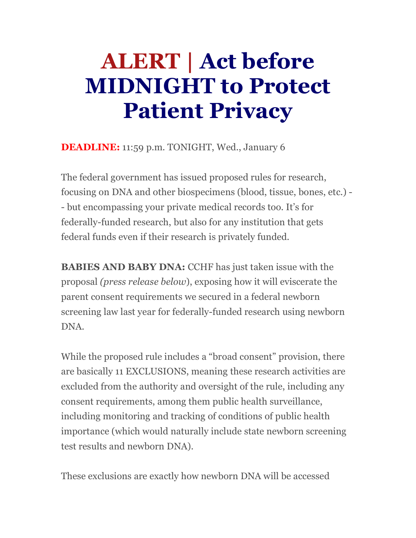# **ALERT | Act before MIDNIGHT to Protect Patient Privacy**

**DEADLINE:** 11:59 p.m. TONIGHT, Wed., January 6

The federal government has issued proposed rules for research, focusing on DNA and other biospecimens (blood, tissue, bones, etc.) - - but encompassing your private medical records too. It's for federally-funded research, but also for any institution that gets federal funds even if their research is privately funded.

**BABIES AND BABY DNA:** CCHF has just taken issue with the proposal *(press release below*), exposing how it will eviscerate the parent consent requirements we secured in a federal newborn screening law last year for federally-funded research using newborn DNA.

While the proposed rule includes a "broad consent" provision, there are basically 11 EXCLUSIONS, meaning these research activities are excluded from the authority and oversight of the rule, including any consent requirements, among them public health surveillance, including monitoring and tracking of conditions of public health importance (which would naturally include state newborn screening test results and newborn DNA).

These exclusions are exactly how newborn DNA will be accessed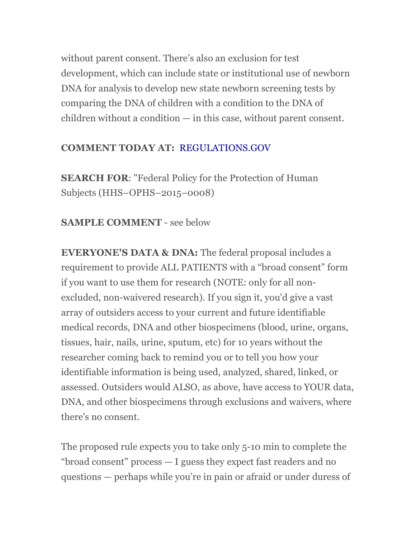without parent consent. There's also an exclusion for test development, which can include state or institutional use of newborn DNA for analysis to develop new state newborn screening tests by comparing the DNA of children with a condition to the DNA of children without a condition — in this case, without parent consent.

### **COMMENT TODAY AT:** REGULATIONS.GOV

**SEARCH FOR**: "Federal Policy for the Protection of Human Subjects (HHS–OPHS–2015–0008)

## **SAMPLE COMMENT** - see below

**EVERYONE'S DATA & DNA:** The federal proposal includes a requirement to provide ALL PATIENTS with a "broad consent" form if you want to use them for research (NOTE: only for all nonexcluded, non-waivered research). If you sign it, you'd give a vast array of outsiders access to your current and future identifiable medical records, DNA and other biospecimens (blood, urine, organs, tissues, hair, nails, urine, sputum, etc) for 10 years without the researcher coming back to remind you or to tell you how your identifiable information is being used, analyzed, shared, linked, or assessed. Outsiders would ALSO, as above, have access to YOUR data, DNA, and other biospecimens through exclusions and waivers, where there's no consent.

The proposed rule expects you to take only 5-10 min to complete the "broad consent" process — I guess they expect fast readers and no questions — perhaps while you're in pain or afraid or under duress of